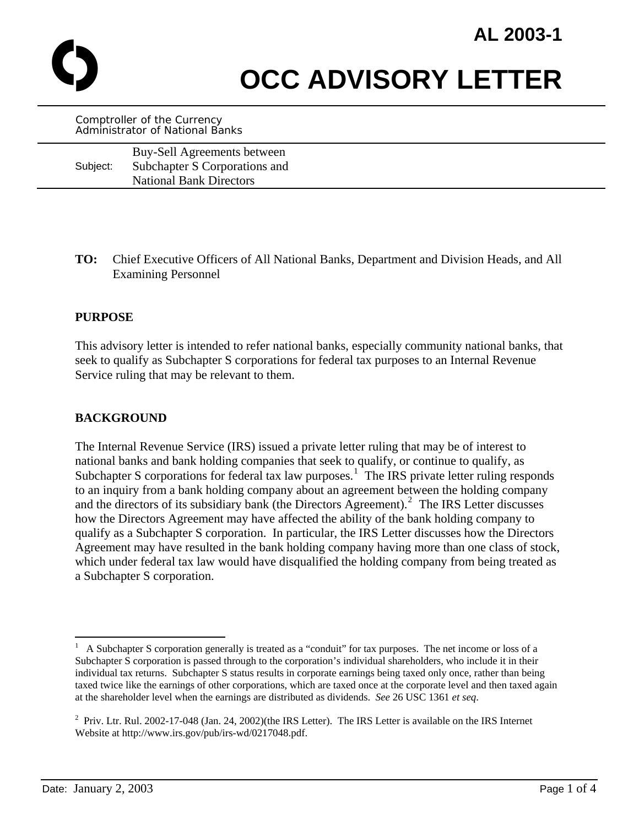

**OCC ADVISORY LETTER** 

Comptroller of the Currency Administrator of National Banks

|          | Buy-Sell Agreements between    |
|----------|--------------------------------|
| Subject: | Subchapter S Corporations and  |
|          | <b>National Bank Directors</b> |

**TO:** Chief Executive Officers of All National Banks, Department and Division Heads, and All Examining Personnel

#### **PURPOSE**

This advisory letter is intended to refer national banks, especially community national banks, that seek to qualify as Subchapter S corporations for federal tax purposes to an Internal Revenue Service ruling that may be relevant to them.

# **BACKGROUND**

The Internal Revenue Service (IRS) issued a private letter ruling that may be of interest to national banks and bank holding companies that seek to qualify, or continue to qualify, as Subchapter S corporations for federal tax law purposes.<sup>[1](#page-0-0)</sup> The IRS private letter ruling responds to an inquiry from a bank holding company about an agreement between the holding company and the directors of its subsidiary bank (the Directors Agreement).<sup>[2](#page-0-1)</sup> The IRS Letter discusses how the Directors Agreement may have affected the ability of the bank holding company to qualify as a Subchapter S corporation. In particular, the IRS Letter discusses how the Directors Agreement may have resulted in the bank holding company having more than one class of stock, which under federal tax law would have disqualified the holding company from being treated as a Subchapter S corporation.

1

<span id="page-0-0"></span><sup>1</sup> A Subchapter S corporation generally is treated as a "conduit" for tax purposes. The net income or loss of a Subchapter S corporation is passed through to the corporation's individual shareholders, who include it in their individual tax returns. Subchapter S status results in corporate earnings being taxed only once, rather than being taxed twice like the earnings of other corporations, which are taxed once at the corporate level and then taxed again at the shareholder level when the earnings are distributed as dividends. *See* 26 USC 1361 *et seq*.

<span id="page-0-1"></span><sup>&</sup>lt;sup>2</sup> Priv. Ltr. Rul. 2002-17-048 (Jan. 24, 2002)(the IRS Letter). The IRS Letter is available on the IRS Internet Website at http://www.irs.gov/pub/irs-wd/0217048.pdf.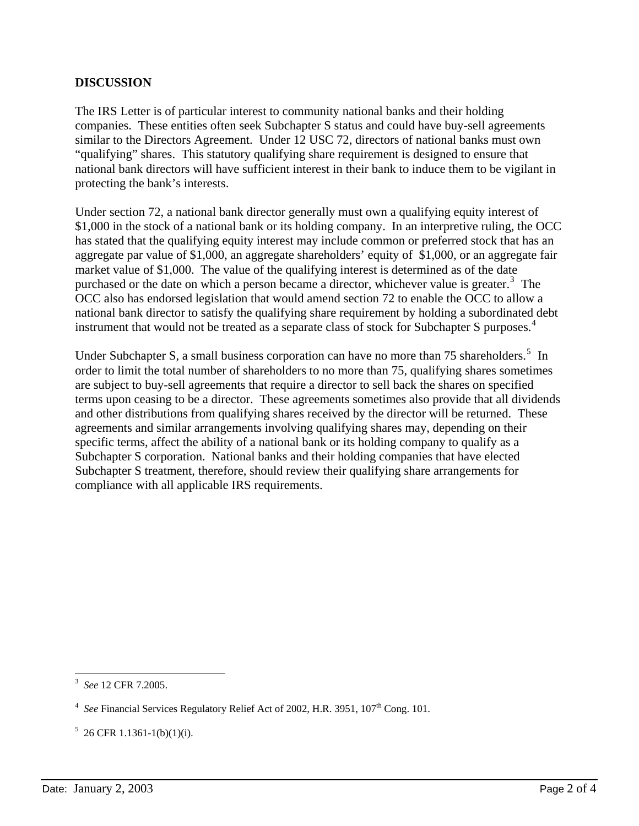# **DISCUSSION**

The IRS Letter is of particular interest to community national banks and their holding companies. These entities often seek Subchapter S status and could have buy-sell agreements similar to the Directors Agreement. Under 12 USC 72, directors of national banks must own "qualifying" shares. This statutory qualifying share requirement is designed to ensure that national bank directors will have sufficient interest in their bank to induce them to be vigilant in protecting the bank's interests.

Under section 72, a national bank director generally must own a qualifying equity interest of \$1,000 in the stock of a national bank or its holding company. In an interpretive ruling, the OCC has stated that the qualifying equity interest may include common or preferred stock that has an aggregate par value of \$1,000, an aggregate shareholders' equity of \$1,000, or an aggregate fair market value of \$1,000. The value of the qualifying interest is determined as of the date purchased or the date on which a person became a director, whichever value is greater. $3$  The OCC also has endorsed legislation that would amend section 72 to enable the OCC to allow a national bank director to satisfy the qualifying share requirement by holding a subordinated debt instrument that would not be treated as a separate class of stock for Subchapter S purposes.<sup>[4](#page-1-1)</sup>

Under Subchapter S, a small business corporation can have no more than 7[5](#page-1-2) shareholders.<sup>5</sup> In order to limit the total number of shareholders to no more than 75, qualifying shares sometimes are subject to buy-sell agreements that require a director to sell back the shares on specified terms upon ceasing to be a director. These agreements sometimes also provide that all dividends and other distributions from qualifying shares received by the director will be returned. These agreements and similar arrangements involving qualifying shares may, depending on their specific terms, affect the ability of a national bank or its holding company to qualify as a Subchapter S corporation. National banks and their holding companies that have elected Subchapter S treatment, therefore, should review their qualifying share arrangements for compliance with all applicable IRS requirements.

<span id="page-1-0"></span> $\overline{a}$ 3 *See* 12 CFR 7.2005.

<span id="page-1-1"></span><sup>&</sup>lt;sup>4</sup> See Financial Services Regulatory Relief Act of 2002, H.R. 3951, 107<sup>th</sup> Cong. 101.

<span id="page-1-2"></span> $5 \, 26 \, \text{CFR} \, 1.1361 - 1 \, \text{(b)} \, \text{(1)} \, \text{(i)}$ .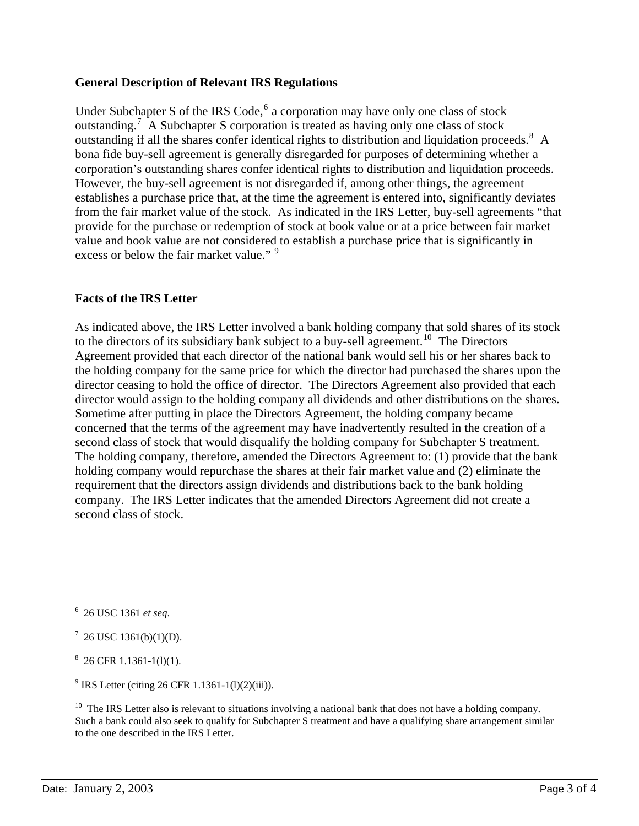# **General Description of Relevant IRS Regulations**

Under Subchapter S of the IRS Code, $6$  a corporation may have only one class of stock outstanding.<sup>[7](#page-2-1)</sup> A Subchapter S corporation is treated as having only one class of stock outstanding if all the shares confer identical rights to distribution and liquidation proceeds.<sup>[8](#page-2-2)</sup> A bona fide buy-sell agreement is generally disregarded for purposes of determining whether a corporation's outstanding shares confer identical rights to distribution and liquidation proceeds. However, the buy-sell agreement is not disregarded if, among other things, the agreement establishes a purchase price that, at the time the agreement is entered into, significantly deviates from the fair market value of the stock. As indicated in the IRS Letter, buy-sell agreements "that provide for the purchase or redemption of stock at book value or at a price between fair market value and book value are not considered to establish a purchase price that is significantly in excess or below the fair market value."<sup>[9](#page-2-3)</sup>

### **Facts of the IRS Letter**

As indicated above, the IRS Letter involved a bank holding company that sold shares of its stock to the directors of its subsidiary bank subject to a buy-sell agreement.<sup>[10](#page-2-4)</sup> The Directors Agreement provided that each director of the national bank would sell his or her shares back to the holding company for the same price for which the director had purchased the shares upon the director ceasing to hold the office of director. The Directors Agreement also provided that each director would assign to the holding company all dividends and other distributions on the shares. Sometime after putting in place the Directors Agreement, the holding company became concerned that the terms of the agreement may have inadvertently resulted in the creation of a second class of stock that would disqualify the holding company for Subchapter S treatment. The holding company, therefore, amended the Directors Agreement to: (1) provide that the bank holding company would repurchase the shares at their fair market value and (2) eliminate the requirement that the directors assign dividends and distributions back to the bank holding company. The IRS Letter indicates that the amended Directors Agreement did not create a second class of stock.

<span id="page-2-2"></span> $8\,$  26 CFR 1.1361-1(l)(1).

<span id="page-2-0"></span> 6 26 USC 1361 *et seq*.

<span id="page-2-1"></span> $7^{7}$  26 USC 1361(b)(1)(D).

<span id="page-2-3"></span><sup>&</sup>lt;sup>9</sup> IRS Letter (citing 26 CFR 1.1361-1(l)(2)(iii)).

<span id="page-2-4"></span> $10$  The IRS Letter also is relevant to situations involving a national bank that does not have a holding company. Such a bank could also seek to qualify for Subchapter S treatment and have a qualifying share arrangement similar to the one described in the IRS Letter.